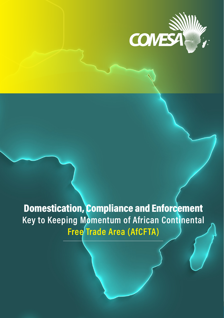

 $\overline{1}$ 

Domestication, Compliance and Enforcement Key to Keeping Momentum of African Continental Free Trade Area (AfCFTA)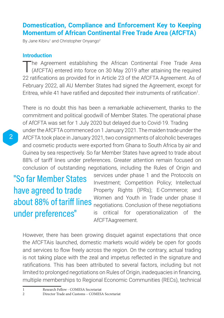## **Domestication, Compliance and Enforcement Key to Keeping Momentum of African Continental Free Trade Area (AfCFTA)**

By Jane Kibiru<sup>1</sup> and Christopher Onyango<sup>2</sup>

#### **Introduction**

The Agreement establishing the African Continental Free Trade Area<br>(AfCFTA) entered into force on 30 May 2019 after attaining the required 22 ratifications as provided for in Article 23 of the AfCFTA Agreement. As of February 2022, all AU Member States had signed the Agreement, except for Eritrea, while 41 have ratified and deposited their instruments of ratification<sup>1</sup>.

There is no doubt this has been a remarkable achievement, thanks to the commitment and political goodwill of Member States. The operational phase of AfCFTA was set for 1 July 2020 but delayed due to Covid-19. Trading under the AfCFTA commenced on 1 January 2021. The maiden trade under the AfCFTA took place in January 2021, two consignments of alcoholic beverages and cosmetic products were exported from Ghana to South Africa by air and Guinea by sea respectively. So far Member States have agreed to trade about 88% of tariff lines under preferences. Greater attention remain focused on conclusion of outstanding negotiations, including the Rules of Origin and

"So far Member States have agreed to trade about 88% of tariff lines under preferences"

services under phase 1 and the Protocols on Investment; Competition Policy; Intellectual Property Rights (IPRs); E-Commerce; and Women and Youth in Trade under phase II negotiations. Conclusion of these negotiations is critical for operationalization of the AfCFTAagreement.

However, there has been growing disquiet against expectations that once the AfCFTAis launched, domestic markets would widely be open for goods and services to flow freely across the region. On the contrary, actual trading is not taking place with the zeal and impetus reflected in the signature and ratifications. This has been attributed to several factors, including but not limited to prolonged negotiations on Rules of Origin, inadequacies in financing, multiple memberships to Regional Economic Communities (RECs), technical

1 Research Fellow - COMESA Secretariat<br>2 Director Trade and Customs – COMES

<sup>2</sup> Director Trade and Customs – COMESA Secretariat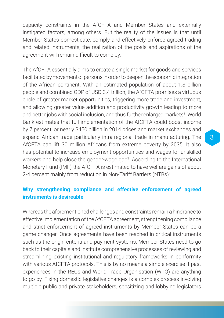capacity constraints in the AfCFTA and Member States and externally instigated factors, among others. But the reality of the issues is that until Member States domesticate, comply and effectively enforce agreed trading and related instruments, the realization of the goals and aspirations of the agreement will remain difficult to come by.

The AfCFTA essentially aims to create a single market for goods and services facilitated by movement of persons in order to deepen the economic integration of the African continent. With an estimated population of about 1.3 billion people and combined GDP of USD 3.4 trillion, the AfCFTA promises a virtuous circle of greater market opportunities, triggering more trade and investment, and allowing greater value addition and productivity growth leading to more and better jobs with social inclusion, and thus further enlarged markets<sup>2</sup>. World Bank estimates that full implementation of the AfCFTA could boost income by 7 percent, or nearly \$450 billion in 2014 prices and market exchanges and expand African trade particularly intra-regional trade in manufacturing. The AfCFTA can lift 30 million Africans from extreme poverty by 2035. It also has potential to increase employment opportunities and wages for unskilled workers and help close the gender-wage gap<sup>3</sup>. According to the International Monetary Fund (IMF) the AfCFTA is estimated to have welfare gains of about 2-4 percent mainly from reduction in Non-Tariff Barriers (NTBs)<sup>4</sup> .

### **Why strengthening compliance and effective enforcement of agreed instruments is desireable**

Whereas the aforementioned challenges and constraints remain a hindrance to effective implementation of the AfCFTA agreement, strengthening compliance and strict enforcement of agreed instruments by Member States can be a game changer. Once agreements have been reached in critical instruments such as the origin criteria and payment systems, Member States need to go back to their capitals and institute comprehensive processes of reviewing and streamlining existing institutional and regulatory frameworks in conformity with various AfCFTA protocols. This is by no means a simple exercise if past experiences in the RECs and World Trade Organisation (WTO) are anything to go by. Fixing domestic legislative changes is a complex process involving multiple public and private stakeholders, sensitizing and lobbying legislators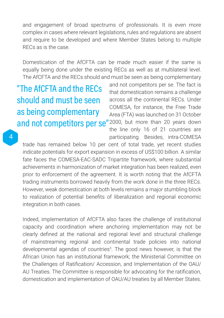and engagement of broad spectrums of professionals. It is even more complex in cases where relevant legislations, rules and regulations are absent and require to be developed and where Member States belong to multiple RECs as is the case.

Domestication of the AfCFTA can be made much easier if the same is equally being done under the existing RECs as well as at multilateral level. The AfCFTA and the RECs should and must be seen as being complementary

"The AfCFTA and the RECs should and must be seen as being complementary

and not competitors per se. The fact is that domestication remains a challenge across all the continental RECs. Under COMESA, for instance, the Free Trade Area (FTA) was launched on 31 October and not competitors per se"2000, but more than 20 years down the line only 16 of 21 countries are participating. Besides, intra-COMESA

trade has remained below 10 per cent of total trade, yet recent studies indicate potentials for export expansion in excess of US\$100 billion. A similar fate faces the COMESA-EAC-SADC Tripartite framework, where substantial achievements in harmonization of market integration has been realized, even prior to enforcement of the agreement. It is worth noting that the AfCFTA trading instruments borrowed heavily from the work done in the three RECs. However, weak domestication at both levels remains a major stumbling block to realization of potential benefits of liberalization and regional economic integration in both cases.

Indeed, implementation of AfCFTA also faces the challenge of institutional capacity and coordination where anchoring implementation may not be clearly defined at the national and regional level and structural challenge of mainstreaming regional and continental trade policies into national developmental agendas of countries<sup>5</sup>. The good news however, is that the African Union has an institutional framework; the Ministerial Committee on the Challenges of Ratification/ Accession, and Implementation of the OAU/ AU Treaties. The Committee is responsible for advocating for the ratification, domestication and implementation of OAU/AU treaties by all Member States.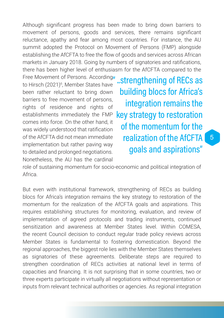Although significant progress has been made to bring down barriers to movement of persons, goods and services, there remains significant reluctance, apathy and fear among most countries. For instance, the AU summit adopted the Protocol on Movement of Persons (FMP) alongside establishing the AfCFTA to free the flow of goods and services across African markets in January 2018. Going by numbers of signatories and ratifications, there has been higher level of enthusiasm for the AfCFTA compared to the

Free Movement of Persons. According to Hirsch (2021)<sup>6</sup>, Member States have been rather reluctant to bring down barriers to free movement of persons, rights of residence and rights of establishments immediately the FMP comes into force. On the other hand, it was widely understood that ratification of the AfCFTA did not mean immediate implementation but rather paving way to detailed and prolonged negotiations. Nonetheless, the AU has the cardinal

..strengthening of RECs as building blocs for Africa's integration remains the key strategy to restoration of the momentum for the realization of the AfCFTA goals and aspirations"

role of sustaining momentum for socio-economic and political integration of Africa.

But even with institutional framework, strengthening of RECs as building blocs for Africa's integration remains the key strategy to restoration of the momentum for the realization of the AfCFTA goals and aspirations. This requires establishing structures for monitoring, evaluation, and review of implementation of agreed protocols and trading instruments, continued sensitization and awareness at Member States level. Within COMESA, the recent Council decision to conduct regular trade policy reviews across Member States is fundamental to fostering domestication. Beyond the regional approaches, the biggest role lies with the Member States themselves as signatories of these agreements. Deliberate steps are required to strengthen coordination of RECs activities at national level in terms of capacities and financing. It is not surprising that in some countries, two or three experts participate in virtually all negotiations without representation or inputs from relevant technical authorities or agencies. As regional integration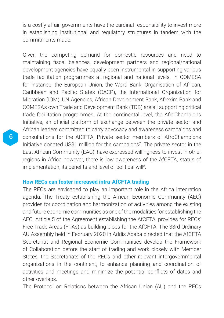is a costly affair, governments have the cardinal responsibility to invest more in establishing institutional and regulatory structures in tandem with the commitments made.

Given the competing demand for domestic resources and need to maintaining fiscal balances, development partners and regional/national development agencies have equally been instrumental in supporting various trade facilitation programmes at regional and national levels. In COMESA for instance, the European Union, the Word Bank, Organisation of African, Caribbean and Pacific States (OACP), the International Organization for Migration (IOM), UN Agencies, African Development Bank, Afrexim Bank and COMESA's own Trade and Development Bank (TDB) are all supporting critical trade facilitation programmes. At the continental level, the AfroChampions Initiative, an official platform of exchange between the private sector and African leaders committed to carry advocacy and awareness campaigns and consultations for the AfCFTA, Private sector members of AfroChampions Initiative donated US\$1 million for the campaigns<sup>7</sup>. The private sector in the East African Community (EAC), have expressed willingness to invest in other regions in Africa however, there is low awareness of the AfCFTA, status of implementation, its benefits and level of political will<sup>8</sup>.

#### **How RECs can foster increased intra-AfCFTA trading**

The RECs are envisaged to play an important role in the Africa integration agenda. The Treaty establishing the African Economic Community (AEC) provides for coordination and harmonization of activities among the existing and future economic communities as one of the modalities for establishing the AEC. Article 5 of the Agreement establishing the AfCFTA, provides for RECs' Free Trade Areas (FTAs) as building blocs for the AfCFTA. The 33rd Ordinary AU Assembly held in February 2020 in Addis Ababa directed that the AfCFTA Secretariat and Regional Economic Communities develop the Framework of Collaboration before the start of trading and work closely with Member States, the Secretariats of the RECs and other relevant intergovernmental organizations in the continent, to enhance planning and coordination of activities and meetings and minimize the potential conflicts of dates and other overlaps.

The Protocol on Relations between the African Union (AU) and the RECs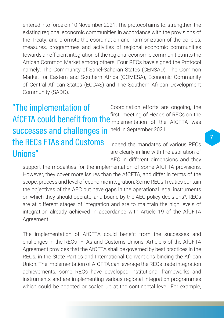entered into force on 10 November 2021. The protocol aims to: strengthen the existing regional economic communities in accordance with the provisions of the Treaty; and promote the coordination and harmonization of the policies, measures, programmes and activities of regional economic communities towards an efficient integration of the regional economic communities into the African Common Market among others. Four RECs have signed the Protocol namely; The Community of Sahel-Saharan States (CENSAD), The Common Market for Eastern and Southern Africa (COMESA), Economic Community of Central African States (ECCAS) and The Southern African Development Community (SADC).

# AfCFTA could benefit from the *instancemity of reads of KLCS off the* "The implementation of successes and challenges in the RECs FTAs and Customs Unions"

Coordination efforts are ongoing, the first meeting of Heads of RECs on the held in September 2021.

Indeed the mandates of various RECs are clearly in line with the aspiration of AEC in different dimensions and they

support the modalities for the implementation of some AfCFTA provisions. However, they cover more issues than the AfCFTA, and differ in terms of the scope, process and level of economic integration. Some RECs Treaties contain the objectives of the AEC but have gaps in the operational legal instruments on which they should operate, and bound by the AEC policy decisions<sup>9</sup>. RECs are at different stages of integration and are to maintain the high levels of integration already achieved in accordance with Article 19 of the AfCFTA Agreement.

The implementation of AfCFTA could benefit from the successes and challenges in the RECs FTAs and Customs Unions. Article 5 of the AfCFTA Agreement provides that the AfCFTA shall be governed by best practices in the RECs, in the State Parties and International Conventions binding the African Union. The implementation of AfCFTA can leverage the RECs trade integration achievements, some RECs have developed institutional frameworks and instruments and are implementing various regional integration programmes which could be adapted or scaled up at the continental level. For example, 7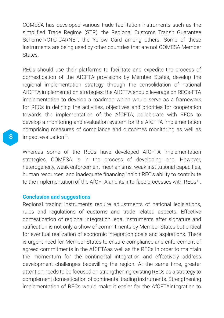COMESA has developed various trade facilitation instruments such as the simplified Trade Regime (STR), the Regional Customs Transit Guarantee Scheme-RCTG-CARNET, the Yellow Card among others. Some of these instruments are being used by other countries that are not COMESA Member States.

RECs should use their platforms to facilitate and expedite the process of domestication of the AfCFTA provisions by Member States, develop the regional implementation strategy through the consolidation of national AfCFTA implementation strategies; the AfCFTA should leverage on RECs-FTA implementation to develop a roadmap which would serve as a framework for RECs in defining the activities, objectives and priorities for cooperation towards the implementation of the AfCFTA; collaborate with RECs to develop a monitoring and evaluation system for the AfCFTA implementation comprising measures of compliance and outcomes monitoring as well as impact evaluation<sup>10</sup>.

Whereas some of the RECs have developed AfCFTA implementation strategies, COMESA is in the process of developing one. However, heterogeneity, weak enforcement mechanisms, weak institutional capacities, human resources, and inadequate financing inhibit REC's ability to contribute to the implementation of the AfCFTA and its interface processes with RECs<sup>11</sup>.

#### **Conclusion and suggestions**

Regional trading instruments require adjustments of national legislations, rules and regulations of customs and trade related aspects. Effective domestication of regional integration legal instruments after signature and ratification is not only a show of commitments by Member States but critical for eventual realization of economic integration goals and aspirations. There is urgent need for Member States to ensure compliance and enforcement of agreed commitments in the AfCFTAas well as the RECs in order to maintain the momentum for the continental integration and effectively address development challenges bedevilling the region. At the same time, greater attention needs to be focused on strengthening existing RECs as a strategy to complement domestication of continental trading instruments. Strengthening implementation of RECs would make it easier for the AfCFTAintegration to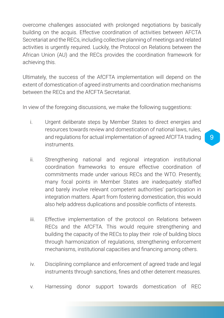overcome challenges associated with prolonged negotiations by basically building on the acquis. Effective coordination of activities between AFCTA Secretariat and the RECs, including collective planning of meetings and related activities is urgently required. Luckily, the Protocol on Relations between the African Union (AU) and the RECs provides the coordination framework for achieving this.

Ultimately, the success of the AfCFTA implementation will depend on the extent of domestication of agreed instruments and coordination mechanisms between the RECs and the AfCFTA Secretariat.

In view of the foregoing discussions, we make the following suggestions:

- i. Urgent deliberate steps by Member States to direct energies and resources towards review and domestication of national laws, rules, and regulations for actual implementation of agreed AfCFTA trading instruments.
- ii. Strengthening national and regional integration institutional coordination frameworks to ensure effective coordination of commitments made under various RECs and the WTO. Presently, many focal points in Member States are inadequately staffed and barely involve relevant competent authorities' participation in integration matters. Apart from fostering domestication, this would also help address duplications and possible conflicts of interests.
- iii. Effective implementation of the protocol on Relations between RECs and the AfCFTA. This would require strengthening and building the capacity of the RECs to play their role of building blocs through harmonization of regulations, strengthening enforcement mechanisms, institutional capacities and financing among others.
- iv. Disciplining compliance and enforcement of agreed trade and legal instruments through sanctions, fines and other deterrent measures.
- v. Harnessing donor support towards domestication of REC

9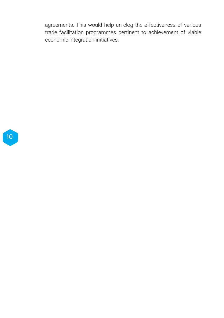agreements. This would help un-clog the effectiveness of various trade facilitation programmes pertinent to achievement of viable economic integration initiatives.

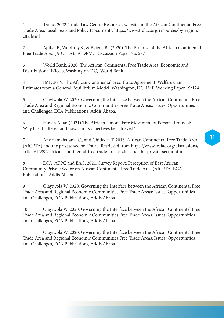1 Tralac, 2022. Trade Law Centre Resources website on the African Continental Free Trade Area, Legal Texts and Policy Documents. https://www.tralac.org/resources/by-region/ cfta.html

2 Apiko, P., Woolfrey,S., & Byiers, B. (2020). The Promise of the African Continental Free Trade Area (AfCFTA). ECDPM. Discussion Paper No. 287

3 World Bank. 2020. The African Continental Free Trade Area: Economic and Distributional Effects, Washington DC, World Bank

4 IMF. 2019. The African Continental Free Trade Agreement: Welfare Gain Estimates from a General Equilibrium Model. Washington, DC: IMF. Working Paper 19/124

5 Olayiwola W. 2020. Governing the Interface between the African Continental Free Trade Area and Regional Economic Communities Free Trade Areas: Issues, Opportunities and Challenges, ECA Publications, Addis Ababa.

6 Hirsch Allan (2021) The African Union's Free Movement of Persons Protocol: Why has it faltered and how can its objectives be achieved?

7 Andriamahatana, C., and Chidede, T. 2018. African Continental Free Trade Area (AfCFTA) and the private sector, Tralac. Retrieved from https://www.tralac.org/discussions/ article/12892-african-continental-free-trade-area-afcfta-and-the-private-sector.html

8 ECA, ATPC and EAC, 2021. Survey Report: Perception of East African Community Private Sector on African Continental Free Trade Area (AfCFTA, ECA Publications, Addis Ababa.

9 Olayiwola W. 2020. Governing the Interface between the African Continental Free Trade Area and Regional Economic Communities Free Trade Areas: Issues, Opportunities and Challenges, ECA Publications, Addis Ababa.

10 Olayiwola W. 2020. Governing the Interface between the African Continental Free Trade Area and Regional Economic Communities Free Trade Areas: Issues, Opportunities and Challenges, ECA Publications, Addis Ababa.

11 Olayiwola W. 2020. Governing the Interface between the African Continental Free Trade Area and Regional Economic Communities Free Trade Areas: Issues, Opportunities and Challenges, ECA Publications, Addis Ababa